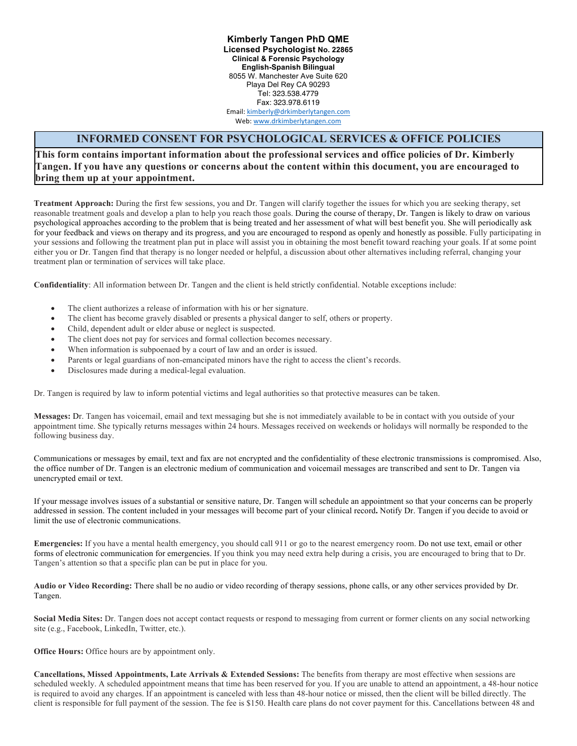**Kimberly Tangen PhD QME Licensed Psychologist No. 22865 Clinical & Forensic Psychology English-Spanish Bilingual** 8055 W. Manchester Ave Suite 620 Playa Del Rey CA 90293 Tel: 323.538.4779 Fax: 323.978.6119 Email: kimberly@drkimberlytangen.com

Web: www.drkimberlytangen.com

## **INFORMED CONSENT FOR PSYCHOLOGICAL SERVICES & OFFICE POLICIES**

**This form contains important information about the professional services and office policies of Dr. Kimberly Tangen. If you have any questions or concerns about the content within this document, you are encouraged to bring them up at your appointment.** 

**Treatment Approach:** During the first few sessions, you and Dr. Tangen will clarify together the issues for which you are seeking therapy, set reasonable treatment goals and develop a plan to help you reach those goals. During the course of therapy, Dr. Tangen is likely to draw on various psychological approaches according to the problem that is being treated and her assessment of what will best benefit you. She will periodically ask for your feedback and views on therapy and its progress, and you are encouraged to respond as openly and honestly as possible. Fully participating in your sessions and following the treatment plan put in place will assist you in obtaining the most benefit toward reaching your goals. If at some point either you or Dr. Tangen find that therapy is no longer needed or helpful, a discussion about other alternatives including referral, changing your treatment plan or termination of services will take place.

**Confidentiality**: All information between Dr. Tangen and the client is held strictly confidential. Notable exceptions include:

- The client authorizes a release of information with his or her signature.
- The client has become gravely disabled or presents a physical danger to self, others or property.
- Child, dependent adult or elder abuse or neglect is suspected.
- The client does not pay for services and formal collection becomes necessary.
- When information is subpoenaed by a court of law and an order is issued.
- Parents or legal guardians of non-emancipated minors have the right to access the client's records.
- Disclosures made during a medical-legal evaluation.

Dr. Tangen is required by law to inform potential victims and legal authorities so that protective measures can be taken.

**Messages:** Dr. Tangen has voicemail, email and text messaging but she is not immediately available to be in contact with you outside of your appointment time. She typically returns messages within 24 hours. Messages received on weekends or holidays will normally be responded to the following business day.

Communications or messages by email, text and fax are not encrypted and the confidentiality of these electronic transmissions is compromised. Also, the office number of Dr. Tangen is an electronic medium of communication and voicemail messages are transcribed and sent to Dr. Tangen via unencrypted email or text.

If your message involves issues of a substantial or sensitive nature, Dr. Tangen will schedule an appointment so that your concerns can be properly addressed in session. The content included in your messages will become part of your clinical record**.** Notify Dr. Tangen if you decide to avoid or limit the use of electronic communications.

**Emergencies:** If you have a mental health emergency, you should call 911 or go to the nearest emergency room. Do not use text, email or other forms of electronic communication for emergencies. If you think you may need extra help during a crisis, you are encouraged to bring that to Dr. Tangen's attention so that a specific plan can be put in place for you.

**Audio or Video Recording:** There shall be no audio or video recording of therapy sessions, phone calls, or any other services provided by Dr. Tangen.

**Social Media Sites:** Dr. Tangen does not accept contact requests or respond to messaging from current or former clients on any social networking site (e.g., Facebook, LinkedIn, Twitter, etc.).

**Office Hours:** Office hours are by appointment only.

**Cancellations, Missed Appointments, Late Arrivals & Extended Sessions:** The benefits from therapy are most effective when sessions are scheduled weekly. A scheduled appointment means that time has been reserved for you. If you are unable to attend an appointment, a 48-hour notice is required to avoid any charges. If an appointment is canceled with less than 48-hour notice or missed, then the client will be billed directly. The client is responsible for full payment of the session. The fee is \$150. Health care plans do not cover payment for this. Cancellations between 48 and